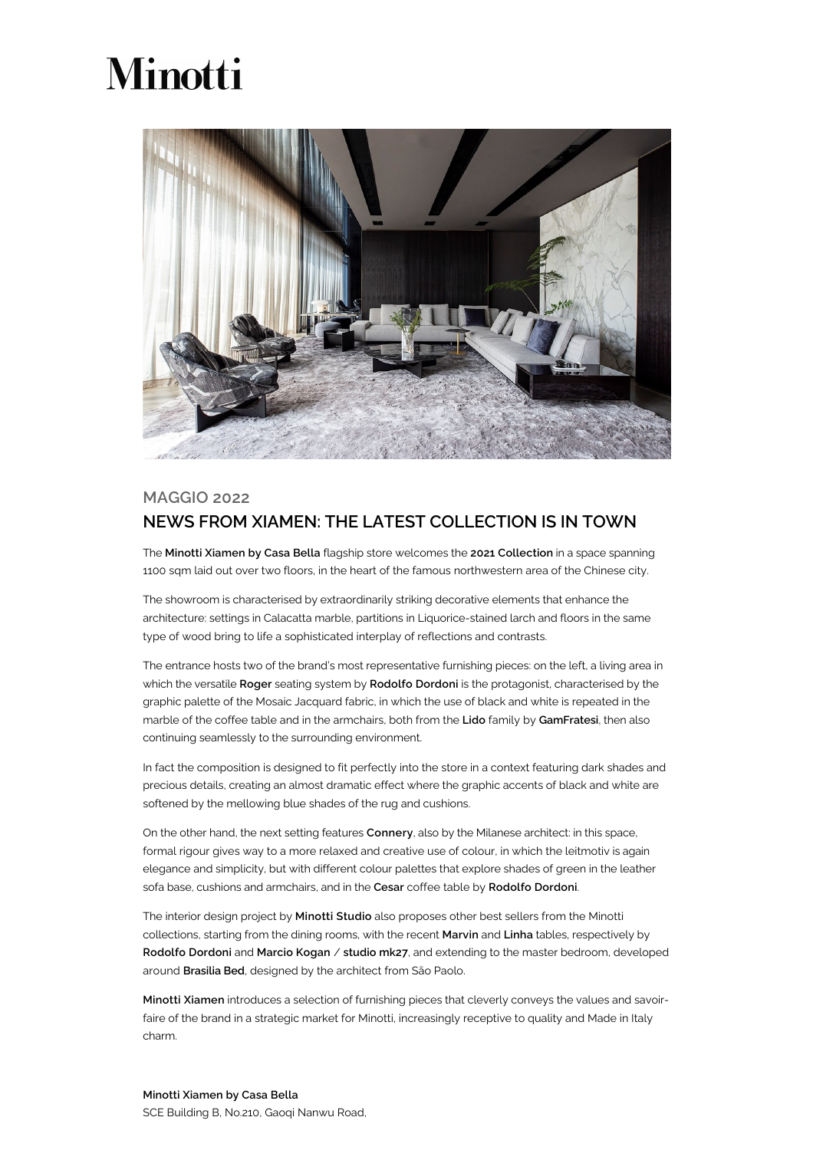## **Minotti**



## MAGGIO 2022 NEWS FROM XIAMEN: THE LATEST COLLECTION IS IN TOWN

The Minotti Xiamen by Casa Bella flagship store welcomes the 2021 Collection in a space spanning 1100 sqm laid out over two floors, in the heart of the famous northwestern area of the Chinese city.

The showroom is characterised by extraordinarily striking decorative elements that enhance the architecture: settings in Calacatta marble, partitions in Liquorice-stained larch and floors in the same type of wood bring to life a sophisticated interplay of reflections and contrasts.

The entrance hosts two of the brand's most representative furnishing pieces: on the left, a living area in which the versatile Roger seating system by Rodolfo Dordoni is the protagonist, characterised by the graphic palette of the Mosaic Jacquard fabric, in which the use of black and white is repeated in the marble of the coffee table and in the armchairs, both from the Lido family by GamFratesi, then also continuing seamlessly to the surrounding environment.

In fact the composition is designed to fit perfectly into the store in a context featuring dark shades and precious details, creating an almost dramatic effect where the graphic accents of black and white are softened by the mellowing blue shades of the rug and cushions.

On the other hand, the next setting features Connery, also by the Milanese architect: in this space, formal rigour gives way to a more relaxed and creative use of colour, in which the leitmotiv is again elegance and simplicity, but with different colour palettes that explore shades of green in the leather sofa base, cushions and armchairs, and in the Cesar coffee table by Rodolfo Dordoni.

The interior design project by Minotti Studio also proposes other best sellers from the Minotti collections, starting from the dining rooms, with the recent Marvin and Linha tables, respectively by Rodolfo Dordoni and Marcio Kogan / studio mk27, and extending to the master bedroom, developed around Brasilia Bed, designed by the architect from São Paolo.

Minotti Xiamen introduces a selection of furnishing pieces that cleverly conveys the values and savoirfaire of the brand in a strategic market for Minotti, increasingly receptive to quality and Made in Italy charm.

## Minotti Xiamen by Casa Bella

SCE Building B, No.210, Gaoqi Nanwu Road,